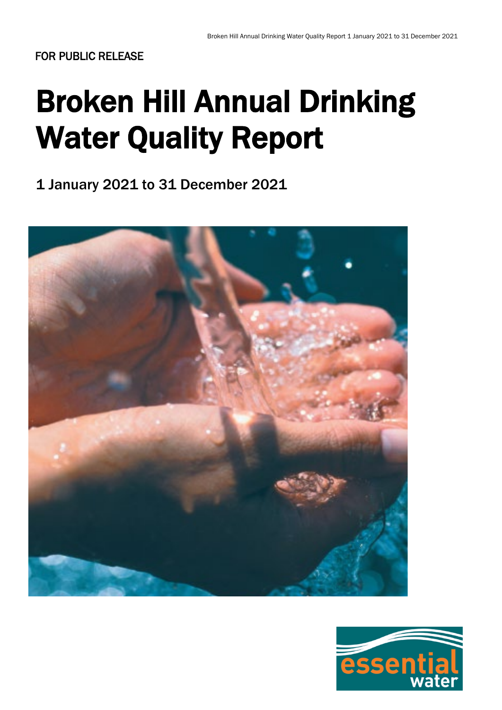# Broken Hill Annual Drinking Water Quality Report

1 January 2021 to 31 December 2021



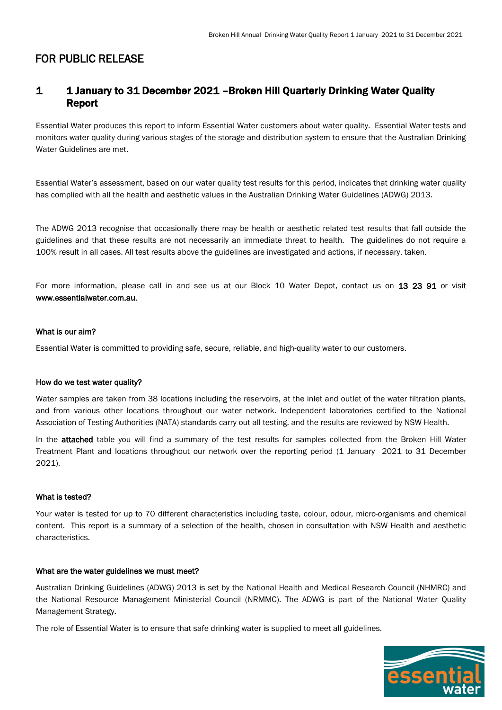### 1 1 January to 31 December 2021 –Broken Hill Quarterly Drinking Water Quality Report

Essential Water produces this report to inform Essential Water customers about water quality. Essential Water tests and monitors water quality during various stages of the storage and distribution system to ensure that the Australian Drinking Water Guidelines are met.

Essential Water's assessment, based on our water quality test results for this period, indicates that drinking water quality has complied with all the health and aesthetic values in the Australian Drinking Water Guidelines (ADWG) 2013.

The ADWG 2013 recognise that occasionally there may be health or aesthetic related test results that fall outside the guidelines and that these results are not necessarily an immediate threat to health. The guidelines do not require a 100% result in all cases. All test results above the guidelines are investigated and actions, if necessary, taken.

For more information, please call in and see us at our Block 10 Water Depot, contact us on 13 23 91 or visit www.essentialwater.com.au.

#### What is our aim?

Essential Water is committed to providing safe, secure, reliable, and high-quality water to our customers.

#### How do we test water quality?

Water samples are taken from 38 locations including the reservoirs, at the inlet and outlet of the water filtration plants, and from various other locations throughout our water network. Independent laboratories certified to the National Association of Testing Authorities (NATA) standards carry out all testing, and the results are reviewed by NSW Health.

In the **attached** table you will find a summary of the test results for samples collected from the Broken Hill Water Treatment Plant and locations throughout our network over the reporting period (1 January 2021 to 31 December 2021).

#### What is tested?

Your water is tested for up to 70 different characteristics including taste, colour, odour, micro-organisms and chemical content. This report is a summary of a selection of the health, chosen in consultation with NSW Health and aesthetic characteristics.

#### What are the water guidelines we must meet?

Australian Drinking Guidelines (ADWG) 2013 is set by the National Health and Medical Research Council (NHMRC) and the National Resource Management Ministerial Council (NRMMC). The ADWG is part of the National Water Quality Management Strategy.

The role of Essential Water is to ensure that safe drinking water is supplied to meet all guidelines.

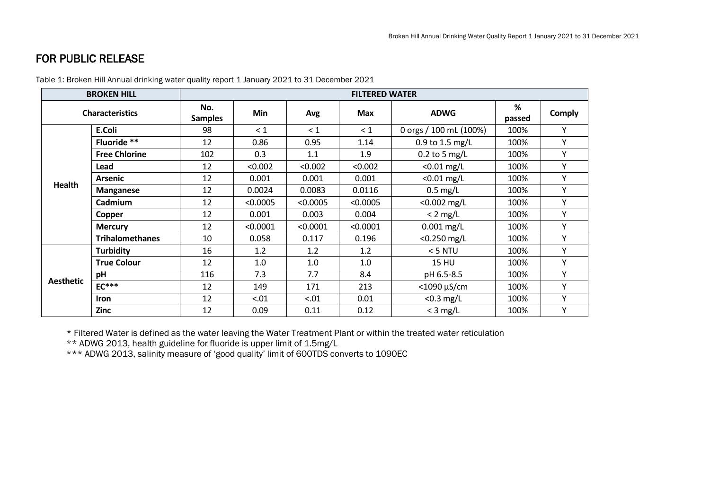| <b>BROKEN HILL</b>     |                        | <b>FILTERED WATER</b> |          |          |            |                        |             |               |
|------------------------|------------------------|-----------------------|----------|----------|------------|------------------------|-------------|---------------|
| <b>Characteristics</b> |                        | No.<br><b>Samples</b> | Min      | Avg      | <b>Max</b> | <b>ADWG</b>            | %<br>passed | <b>Comply</b> |
| Health                 | E.Coli                 | 98                    | $\leq 1$ | $\leq 1$ | $\leq 1$   | 0 orgs / 100 mL (100%) | 100%        | Υ             |
|                        | Fluoride **            | 12                    | 0.86     | 0.95     | 1.14       | 0.9 to 1.5 mg/L        | 100%        | Υ             |
|                        | <b>Free Chlorine</b>   | 102                   | 0.3      | 1.1      | 1.9        | $0.2$ to 5 mg/L        | 100%        | Υ             |
|                        | Lead                   | 12                    | < 0.002  | < 0.002  | < 0.002    | $<$ 0.01 mg/L          | 100%        | Υ             |
|                        | <b>Arsenic</b>         | 12                    | 0.001    | 0.001    | 0.001      | $<$ 0.01 mg/L          | 100%        | Υ             |
|                        | <b>Manganese</b>       | 12                    | 0.0024   | 0.0083   | 0.0116     | $0.5$ mg/L             | 100%        | Υ             |
|                        | Cadmium                | 12                    | < 0.0005 | < 0.0005 | < 0.0005   | $< 0.002$ mg/L         | 100%        | Υ             |
|                        | Copper                 | 12                    | 0.001    | 0.003    | 0.004      | $< 2$ mg/L             | 100%        | Υ             |
|                        | <b>Mercury</b>         | 12                    | < 0.0001 | < 0.0001 | < 0.0001   | $0.001$ mg/L           | 100%        | Y             |
|                        | <b>Trihalomethanes</b> | 10                    | 0.058    | 0.117    | 0.196      | $<$ 0.250 mg/L         | 100%        | Y             |
| <b>Aesthetic</b>       | <b>Turbidity</b>       | 16                    | 1.2      | 1.2      | 1.2        | $<$ 5 NTU              | 100%        | Υ             |
|                        | <b>True Colour</b>     | 12                    | 1.0      | 1.0      | 1.0        | <b>15 HU</b>           | 100%        | Υ             |
|                        | pH                     | 116                   | 7.3      | 7.7      | 8.4        | pH 6.5-8.5             | 100%        | Υ             |
|                        | $EC***$                | 12                    | 149      | 171      | 213        | $<$ 1090 $\mu$ S/cm    | 100%        | Υ             |
|                        | <b>Iron</b>            | 12                    | < 0.01   | < .01    | 0.01       | $<$ 0.3 mg/L           | 100%        | Υ             |
|                        | <b>Zinc</b>            | 12                    | 0.09     | 0.11     | 0.12       | $<$ 3 mg/L             | 100%        | Υ             |

Table 1: Broken Hill Annual drinking water quality report 1 January 2021 to 31 December 2021

\* Filtered Water is defined as the water leaving the Water Treatment Plant or within the treated water reticulation

\*\* ADWG 2013, health guideline for fluoride is upper limit of 1.5mg/L

\*\*\* ADWG 2013, salinity measure of 'good quality' limit of 600TDS converts to 1090EC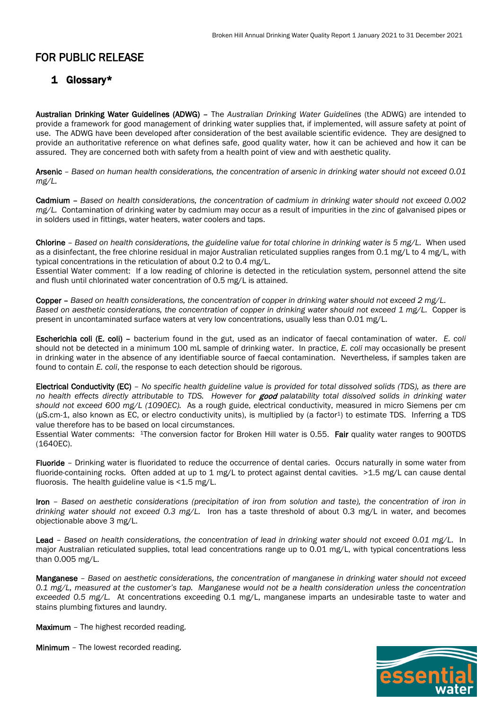## 1 Glossary\*

Australian Drinking Water Guidelines (ADWG) – The *Australian Drinking Water Guidelines* (the ADWG) are intended to provide a framework for good management of drinking water supplies that, if implemented, will assure safety at point of use. The ADWG have been developed after consideration of the best available scientific evidence. They are designed to provide an authoritative reference on what defines safe, good quality water, how it can be achieved and how it can be assured. They are concerned both with safety from a health point of view and with aesthetic quality.

Arsenic – *Based on human health considerations, the concentration of arsenic in drinking water should not exceed 0.01 mg/L.*

Cadmium – *Based on health considerations, the concentration of cadmium in drinking water should not exceed 0.002 mg/L.* Contamination of drinking water by cadmium may occur as a result of impurities in the zinc of galvanised pipes or in solders used in fittings, water heaters, water coolers and taps.

Chlorine – *Based on health considerations, the guideline value for total chlorine in drinking water is 5 mg/L.* When used as a disinfectant, the free chlorine residual in major Australian reticulated supplies ranges from 0.1 mg/L to 4 mg/L, with typical concentrations in the reticulation of about 0.2 to 0.4 mg/L.

Essential Water comment: If a low reading of chlorine is detected in the reticulation system, personnel attend the site and flush until chlorinated water concentration of 0.5 mg/L is attained.

Copper – *Based on health considerations, the concentration of copper in drinking water should not exceed 2 mg/L. Based on aesthetic considerations, the concentration of copper in drinking water should not exceed 1 mg/L.* Copper is present in uncontaminated surface waters at very low concentrations, usually less than 0.01 mg/L.

Escherichia coli (E. coli) – bacterium found in the gut, used as an indicator of faecal contamination of water. *E. coli*  should not be detected in a minimum 100 mL sample of drinking water. In practice, *E. coli* may occasionally be present in drinking water in the absence of any identifiable source of faecal contamination. Nevertheless, if samples taken are found to contain *E. coli*, the response to each detection should be rigorous.

Electrical Conductivity (EC) – *No specific health guideline value is provided for total dissolved solids (TDS), as there are no health effects directly attributable to TDS. However for* good *palatability total dissolved solids in drinking water should not exceed 600 mg/L (1090EC).* As a rough guide, electrical conductivity, measured in micro Siemens per cm (μS.cm-1, also known as EC, or electro conductivity units), is multiplied by (a factor1) to estimate TDS. Inferring a TDS value therefore has to be based on local circumstances.

Essential Water comments: 1The conversion factor for Broken Hill water is 0.55. Fair quality water ranges to 900TDS (1640EC).

Fluoride – Drinking water is fluoridated to reduce the occurrence of dental caries. Occurs naturally in some water from fluoride-containing rocks. Often added at up to 1 mg/L to protect against dental cavities. >1.5 mg/L can cause dental fluorosis. The health guideline value is  $<$  1.5 mg/L.

Iron – *Based on aesthetic considerations (precipitation of iron from solution and taste), the concentration of iron in drinking water should not exceed 0.3 mg/L.* Iron has a taste threshold of about 0.3 mg/L in water, and becomes objectionable above 3 mg/L.

Lead – *Based on health considerations, the concentration of lead in drinking water should not exceed 0.01 mg/L.* In major Australian reticulated supplies, total lead concentrations range up to 0.01 mg/L, with typical concentrations less than 0.005 mg/L.

Manganese – *Based on aesthetic considerations, the concentration of manganese in drinking water should not exceed 0.1 mg/L, measured at the customer's tap. Manganese would not be a health consideration unless the concentration exceeded 0.5 mg/L.* At concentrations exceeding 0.1 mg/L, manganese imparts an undesirable taste to water and stains plumbing fixtures and laundry.

Maximum - The highest recorded reading.

Minimum – The lowest recorded reading.